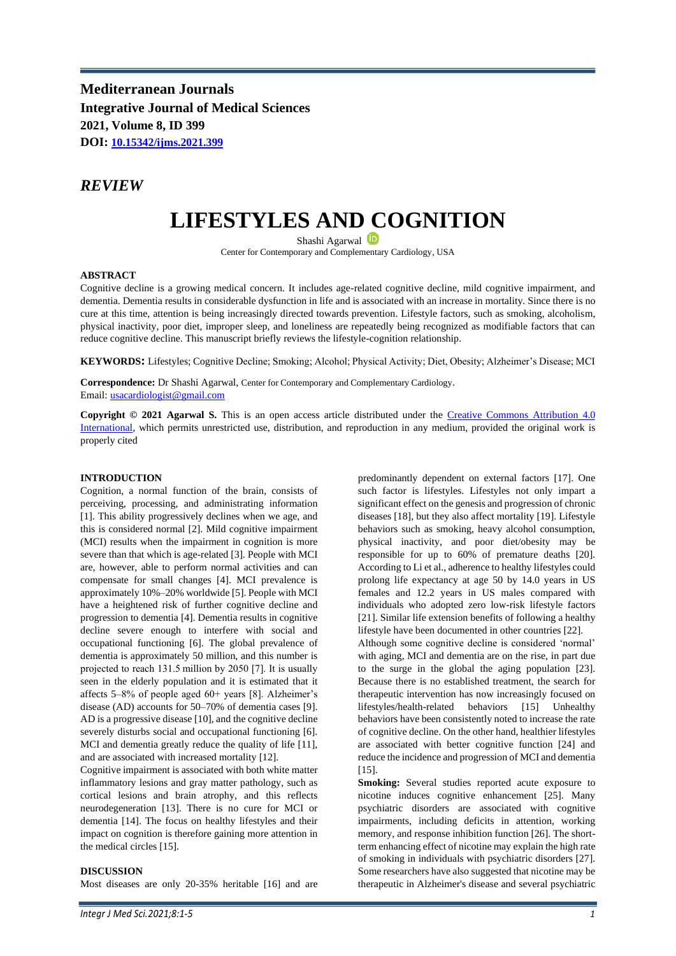**Mediterranean Journals Integrative Journal of Medical Sciences 2021, Volume 8, ID 399 DOI: [10.15342/ijms.2021.399](https://doi.org/10.15342/ijms.2021.399)**

# *REVIEW*

# **LIFESTYLES AND COGNITION**

Shashi Agarwal Center for Contemporary and Complementary Cardiology, USA

#### **ABSTRACT**

Cognitive decline is a growing medical concern. It includes age-related cognitive decline, mild cognitive impairment, and dementia. Dementia results in considerable dysfunction in life and is associated with an increase in mortality. Since there is no cure at this time, attention is being increasingly directed towards prevention. Lifestyle factors, such as smoking, alcoholism, physical inactivity, poor diet, improper sleep, and loneliness are repeatedly being recognized as modifiable factors that can reduce cognitive decline. This manuscript briefly reviews the lifestyle-cognition relationship.

**KEYWORDS:** Lifestyles; Cognitive Decline; Smoking; Alcohol; Physical Activity; Diet, Obesity; Alzheimer's Disease; MCI

**Correspondence:** Dr Shashi Agarwal, Center for Contemporary and Complementary Cardiology. Email: [usacardiologist@gmail.com](mailto:usacardiologist@gmail.com)

**Copyright © 2021 Agarwal S.** This is an open access article distributed under the [Creative Commons Attribution 4.0](https://creativecommons.org/licenses/by/4.0/)  [International,](https://creativecommons.org/licenses/by/4.0/) which permits unrestricted use, distribution, and reproduction in any medium, provided the original work is properly cited

#### **INTRODUCTION**

Cognition, a normal function of the brain, consists of perceiving, processing, and administrating information [1]. This ability progressively declines when we age, and this is considered normal [2]. Mild cognitive impairment (MCI) results when the impairment in cognition is more severe than that which is age-related [3]. People with MCI are, however, able to perform normal activities and can compensate for small changes [4]. MCI prevalence is approximately 10%–20% worldwide [5]. People with MCI have a heightened risk of further cognitive decline and progression to dementia [4]. Dementia results in cognitive decline severe enough to interfere with social and occupational functioning [6]. The global prevalence of dementia is approximately 50 million, and this number is projected to reach 131.5 million by 2050 [7]. It is usually seen in the elderly population and it is estimated that it affects 5–8% of people aged 60+ years [8]. Alzheimer's disease (AD) accounts for 50–70% of dementia cases [9]. AD is a progressive disease [10], and the cognitive decline severely disturbs social and occupational functioning [6]. MCI and dementia greatly reduce the quality of life [11], and are associated with increased mortality [12].

Cognitive impairment is associated with both white matter inflammatory lesions and gray matter pathology, such as cortical lesions and brain atrophy, and this reflects neurodegeneration [13]. There is no cure for MCI or dementia [14]. The focus on healthy lifestyles and their impact on cognition is therefore gaining more attention in the medical circles [15].

#### **DISCUSSION**

Most diseases are only 20-35% heritable [16] and are

predominantly dependent on external factors [17]. One such factor is lifestyles. Lifestyles not only impart a significant effect on the genesis and progression of chronic diseases [18], but they also affect mortality [19]. Lifestyle behaviors such as smoking, heavy alcohol consumption, physical inactivity, and poor diet/obesity may be responsible for up to 60% of premature deaths [20]. According to Li et al., adherence to healthy lifestyles could prolong life expectancy at age 50 by 14.0 years in US females and 12.2 years in US males compared with individuals who adopted zero low-risk lifestyle factors [21]. Similar life extension benefits of following a healthy lifestyle have been documented in other countries [22].

Although some cognitive decline is considered 'normal' with aging, MCI and dementia are on the rise, in part due to the surge in the global the aging population [23]. Because there is no established treatment, the search for therapeutic intervention has now increasingly focused on lifestyles/health-related behaviors [15] Unhealthy behaviors have been consistently noted to increase the rate of cognitive decline. On the other hand, healthier lifestyles are associated with better cognitive function [24] and reduce the incidence and progression of MCI and dementia [15].

**Smoking:** Several studies reported acute exposure to nicotine induces cognitive enhancement [25]. Many psychiatric disorders are associated with cognitive impairments, including deficits in attention, working memory, and response inhibition function [26]. The shortterm enhancing effect of nicotine may explain the high rate of smoking in individuals with psychiatric disorders [27]. Some researchers have also suggested that nicotine may be therapeutic in Alzheimer's disease and several psychiatric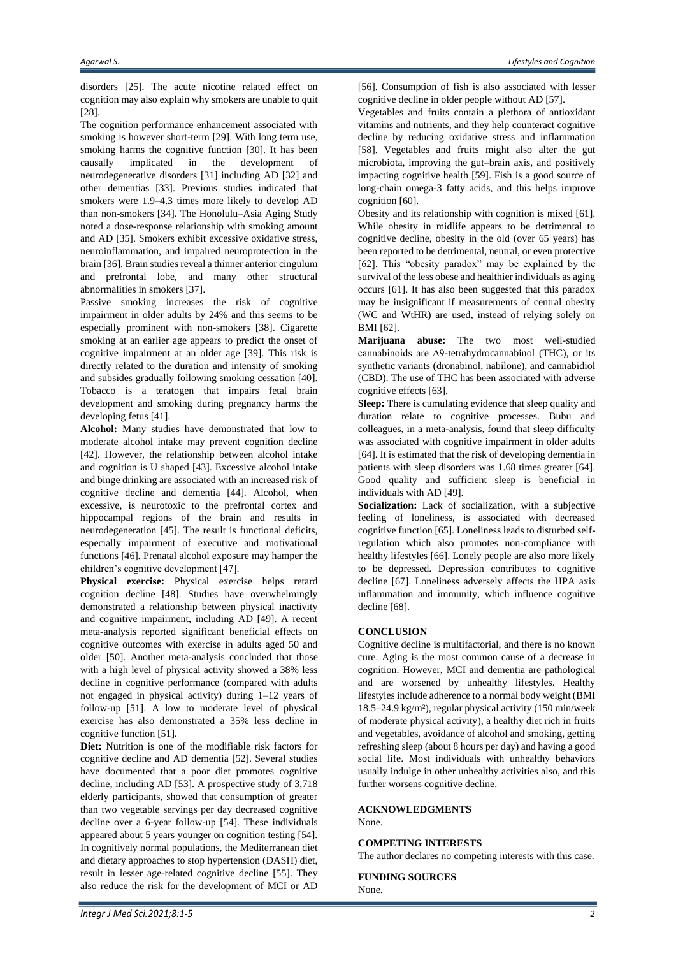disorders [25]. The acute nicotine related effect on cognition may also explain why smokers are unable to quit [28].

The cognition performance enhancement associated with smoking is however short-term [29]. With long term use, smoking harms the cognitive function [30]. It has been causally implicated in the development of neurodegenerative disorders [31] including AD [32] and other dementias [33]. Previous studies indicated that smokers were 1.9–4.3 times more likely to develop AD than non-smokers [34]. The Honolulu–Asia Aging Study noted a dose-response relationship with smoking amount and AD [35]. Smokers exhibit excessive oxidative stress, neuroinflammation, and impaired neuroprotection in the brain [36]. Brain studies reveal a thinner anterior cingulum and prefrontal lobe, and many other structural abnormalities in smokers [37].

Passive smoking increases the risk of cognitive impairment in older adults by 24% and this seems to be especially prominent with non-smokers [38]. Cigarette smoking at an earlier age appears to predict the onset of cognitive impairment at an older age [39]. This risk is directly related to the duration and intensity of smoking and subsides gradually following smoking cessation [40]. Tobacco is a teratogen that impairs fetal brain development and smoking during pregnancy harms the developing fetus [41].

**Alcohol:** Many studies have demonstrated that low to moderate alcohol intake may prevent cognition decline [42]. However, the relationship between alcohol intake and cognition is U shaped [43]. Excessive alcohol intake and binge drinking are associated with an increased risk of cognitive decline and dementia [44]. Alcohol, when excessive, is neurotoxic to the prefrontal cortex and hippocampal regions of the brain and results in neurodegeneration [45]. The result is functional deficits, especially impairment of executive and motivational functions [46]. Prenatal alcohol exposure may hamper the children's cognitive development [47].

**Physical exercise:** Physical exercise helps retard cognition decline [48]. Studies have overwhelmingly demonstrated a relationship between physical inactivity and cognitive impairment, including AD [49]. A recent meta-analysis reported significant beneficial effects on cognitive outcomes with exercise in adults aged 50 and older [50]. Another meta-analysis concluded that those with a high level of physical activity showed a 38% less decline in cognitive performance (compared with adults not engaged in physical activity) during 1–12 years of follow-up [51]. A low to moderate level of physical exercise has also demonstrated a 35% less decline in cognitive function [51].

**Diet:** Nutrition is one of the modifiable risk factors for cognitive decline and AD dementia [52]. Several studies have documented that a poor diet promotes cognitive decline, including AD [53]. A prospective study of 3,718 elderly participants, showed that consumption of greater than two vegetable servings per day decreased cognitive decline over a 6-year follow-up [54]. These individuals appeared about 5 years younger on cognition testing [54]. In cognitively normal populations, the Mediterranean diet and dietary approaches to stop hypertension (DASH) diet, result in lesser age-related cognitive decline [55]. They also reduce the risk for the development of MCI or AD

[56]. Consumption of fish is also associated with lesser cognitive decline in older people without AD [57].

Vegetables and fruits contain a plethora of antioxidant vitamins and nutrients, and they help counteract cognitive decline by reducing oxidative stress and inflammation [58]. Vegetables and fruits might also alter the gut microbiota, improving the gut–brain axis, and positively impacting cognitive health [59]. Fish is a good source of long-chain omega-3 fatty acids, and this helps improve cognition [60].

Obesity and its relationship with cognition is mixed [61]. While obesity in midlife appears to be detrimental to cognitive decline, obesity in the old (over 65 years) has been reported to be detrimental, neutral, or even protective [62]. This "obesity paradox" may be explained by the survival of the less obese and healthier individuals as aging occurs [61]. It has also been suggested that this paradox may be insignificant if measurements of central obesity (WC and WtHR) are used, instead of relying solely on BMI [62].

**Marijuana abuse:** The two most well-studied cannabinoids are Δ9-tetrahydrocannabinol (THC), or its synthetic variants (dronabinol, nabilone), and cannabidiol (CBD). The use of THC has been associated with adverse cognitive effects [63].

**Sleep:** There is cumulating evidence that sleep quality and duration relate to cognitive processes. Bubu and colleagues, in a meta-analysis, found that sleep difficulty was associated with cognitive impairment in older adults [64]. It is estimated that the risk of developing dementia in patients with sleep disorders was 1.68 times greater [64]. Good quality and sufficient sleep is beneficial in individuals with AD [49].

**Socialization:** Lack of socialization, with a subjective feeling of loneliness, is associated with decreased cognitive function [65]. Loneliness leads to disturbed selfregulation which also promotes non-compliance with healthy lifestyles [66]. Lonely people are also more likely to be depressed. Depression contributes to cognitive decline [67]. Loneliness adversely affects the HPA axis inflammation and immunity, which influence cognitive decline [68].

## **CONCLUSION**

Cognitive decline is multifactorial, and there is no known cure. Aging is the most common cause of a decrease in cognition. However, MCI and dementia are pathological and are worsened by unhealthy lifestyles. Healthy lifestyles include adherence to a normal body weight (BMI 18.5–24.9 kg/m²), regular physical activity (150 min/week of moderate physical activity), a healthy diet rich in fruits and vegetables, avoidance of alcohol and smoking, getting refreshing sleep (about 8 hours per day) and having a good social life. Most individuals with unhealthy behaviors usually indulge in other unhealthy activities also, and this further worsens cognitive decline.

## **ACKNOWLEDGMENTS**

None.

#### **COMPETING INTERESTS**

The author declares no competing interests with this case.

**FUNDING SOURCES** None.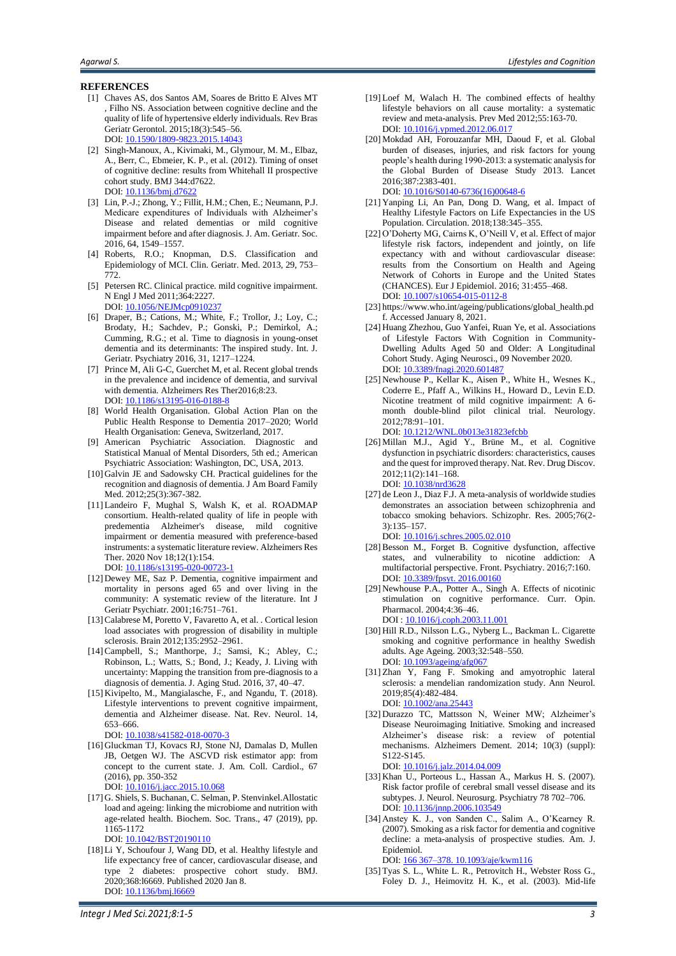#### **REFERENCES**

- [1] Chaves AS, dos Santos AM, Soares de Britto E Alves MT , Filho NS. Association between cognitive decline and the quality of life of hypertensive elderly individuals. Rev Bras Geriatr Gerontol. 2015;18(3):545–56. DOI[: 10.1590/1809-9823.2015.14043](https://doi.org/10.1590/1809-9823.2015.14043)
- [2] Singh-Manoux, A., Kivimaki, M., Glymour, M. M., Elbaz, A., Berr, C., Ebmeier, K. P., et al. (2012). Timing of onset of cognitive decline: results from Whitehall II prospective cohort study. BMJ 344:d7622. DOI[: 10.1136/bmj.d7622](https://doi.org/10.1136/bmj.d7622)
- [3] Lin, P.-J.; Zhong, Y.; Fillit, H.M.; Chen, E.; Neumann, P.J. Medicare expenditures of Individuals with Alzheimer's Disease and related dementias or mild cognitive impairment before and after diagnosis. J. Am. Geriatr. Soc. 2016, 64, 1549–1557.
- [4] Roberts, R.O.; Knopman, D.S. Classification and Epidemiology of MCI. Clin. Geriatr. Med. 2013, 29, 753– 772.
- [5] Petersen RC. Clinical practice. mild cognitive impairment. N Engl J Med 2011;364:2227. DOI[: 10.1056/NEJMcp0910237](https://doi.org/10.1056/NEJMcp0910237)
- [6] Draper, B.; Cations, M.; White, F.; Trollor, J.; Loy, C.; Brodaty, H.; Sachdev, P.; Gonski, P.; Demirkol, A.; Cumming, R.G.; et al. Time to diagnosis in young-onset dementia and its determinants: The inspired study. Int. J. Geriatr. Psychiatry 2016, 31, 1217–1224.
- [7] Prince M, Ali G-C, Guerchet M, et al. Recent global trends in the prevalence and incidence of dementia, and survival with dementia. Alzheimers Res Ther2016;8:23. DOI[: 10.1186/s13195-016-0188-8](https://doi.org/10.1186/s13195-016-0188-8)
- [8] World Health Organisation. Global Action Plan on the Public Health Response to Dementia 2017–2020; World Health Organisation: Geneva, Switzerland, 2017.
- [9] American Psychiatric Association. Diagnostic and Statistical Manual of Mental Disorders, 5th ed.; American Psychiatric Association: Washington, DC, USA, 2013.
- [10] Galvin JE and Sadowsky CH. Practical guidelines for the recognition and diagnosis of dementia. J Am Board Family Med. 2012;25(3):367-382.
- [11] Landeiro F, Mughal S, Walsh K, et al. ROADMAP consortium. Health-related quality of life in people with predementia Alzheimer's disease, mild cognitive impairment or dementia measured with preference-based instruments: a systematic literature review. Alzheimers Res Ther. 2020 Nov 18;12(1):154. DOI[: 10.1186/s13195-020-00723-1](https://doi.org/10.1186/s13195-020-00723-1)
- [12] Dewey ME, Saz P. Dementia, cognitive impairment and mortality in persons aged 65 and over living in the community: A systematic review of the literature. Int J Geriatr Psychiatr. 2001;16:751–761.
- [13]Calabrese M, Poretto V, Favaretto A, et al. . Cortical lesion load associates with progression of disability in multiple sclerosis. Brain 2012;135:2952–2961.
- [14]Campbell, S.; Manthorpe, J.; Samsi, K.; Abley, C.; Robinson, L.; Watts, S.; Bond, J.; Keady, J. Living with uncertainty: Mapping the transition from pre-diagnosis to a diagnosis of dementia. J. Aging Stud. 2016, 37, 40–47.
- [15] Kivipelto, M., Mangialasche, F., and Ngandu, T. (2018). Lifestyle interventions to prevent cognitive impairment, dementia and Alzheimer disease. Nat. Rev. Neurol. 14, 653–666.
	- DOI[: 10.1038/s41582-018-0070-3](https://doi.org/10.1038/s41582-018-0070-3)
- [16] Gluckman TJ, Kovacs RJ, Stone NJ, Damalas D, Mullen JB, Oetgen WJ. The ASCVD risk estimator app: from concept to the current state. J. Am. Coll. Cardiol., 67 (2016), pp. 350-352 DOI[: 10.1016/j.jacc.2015.10.068](https://doi.org/10.1016/j.jacc.2015.10.068)
- [17] G. Shiels, S. Buchanan, C. Selman, P. Stenvinkel.Allostatic load and ageing: linking the microbiome and nutrition with age-related health. Biochem. Soc. Trans., 47 (2019), pp. 1165-1172
	- DOI[: 10.1042/BST20190110](https://doi.org/10.1042/BST20190110)
- [18] Li Y, Schoufour J, Wang DD, et al. Healthy lifestyle and life expectancy free of cancer, cardiovascular disease, and type 2 diabetes: prospective cohort study. BMJ. 2020;368:l6669. Published 2020 Jan 8. DOI: [10.1136/bmj.l6669](https://doi.org/10.1136/bmj.l6669)
- [19] Loef M, Walach H. The combined effects of healthy lifestyle behaviors on all cause mortality: a systematic review and meta-analysis. Prev Med 2012;55:163-70. DOI: [10.1016/j.ypmed.2012.06.017](https://doi.org/10.1016/j.ypmed.2012.06.017)
- [20] Mokdad AH, Forouzanfar MH, Daoud F, et al. Global burden of diseases, injuries, and risk factors for young people's health during 1990-2013: a systematic analysis for the Global Burden of Disease Study 2013. Lancet 2016;387:2383-401.

DOI[: 10.1016/S0140-6736\(16\)00648-6](https://doi.org/10.1016/S0140-6736(16)00648-6)

- [21] Yanping Li, An Pan, Dong D. Wang, et al. Impact of Healthy Lifestyle Factors on Life Expectancies in the US Population. Circulation. 2018;138:345–355.
- [22] O'Doherty MG, Cairns K, O'Neill V, et al. Effect of major lifestyle risk factors, independent and jointly, on life expectancy with and without cardiovascular disease: results from the Consortium on Health and Ageing Network of Cohorts in Europe and the United States (CHANCES). Eur J Epidemiol. 2016; 31:455–468. DOI[: 10.1007/s10654-015-0112-8](https://doi.org/10.1007/s10654-015-0112-8)
- [23] https://www.who.int/ageing/publications/global\_health.pd f. Accessed January 8, 2021.
- [24] Huang Zhezhou, Guo Yanfei, Ruan Ye, et al. Associations of Lifestyle Factors With Cognition in Community-Dwelling Adults Aged 50 and Older: A Longitudinal Cohort Study. Aging Neurosci., 09 November 2020. DOI[: 10.3389/fnagi.2020.601487](https://doi.org/10.3389/fnagi.2020.601487)
- [25] Newhouse P., Kellar K., Aisen P., White H., Wesnes K., Coderre E., Pfaff A., Wilkins H., Howard D., Levin E.D. Nicotine treatment of mild cognitive impairment: A 6 month double-blind pilot clinical trial. Neurology. 2012;78:91–101. DOI[: 10.1212/WNL.0b013e31823efcbb](https://doi.org/10.1212/WNL.0b013e31823efcbb)
- [26] Millan M.J., Agid Y., Brüne M., et al. Cognitive dysfunction in psychiatric disorders: characteristics, causes and the quest for improved therapy. Nat. Rev. Drug Discov. 2012;11(2):141–168. DOI: 10.1038/nrd362
- [27] de Leon J., Diaz F.J. A meta-analysis of worldwide studies demonstrates an association between schizophrenia and tobacco smoking behaviors. Schizophr. Res. 2005;76(2- 3):135–157.
- DOI: [10.1016/j.schres.2005.02.010](http://dx.doi.org/10.1016/j.schres.2005.02.010) [28]Besson M., Forget B. Cognitive dysfunction, affective states, and vulnerability to nicotine addiction: A multifactorial perspective. Front. Psychiatry. 2016;7:160. DOI[: 10.3389/fpsyt. 2016.00160](http://dx.doi.org/10.3389/fpsyt.%202016.00160)
- [29] Newhouse P.A., Potter A., Singh A. Effects of nicotinic stimulation on cognitive performance. Curr. Opin. Pharmacol. 2004;4:36–46. DOI [: 10.1016/j.coph.2003.11.001](https://doi.org/10.1016/j.coph.2003.11.001)
- [30] Hill R.D., Nilsson L.G., Nyberg L., Backman L. Cigarette smoking and cognitive performance in healthy Swedish adults. Age Ageing. 2003;32:548–550. DOI[: 10.1093/ageing/afg067](https://doi.org/10.1093/ageing/afg067)
- [31] Zhan Y, Fang F. Smoking and amyotrophic lateral sclerosis: a mendelian randomization study. Ann Neurol. 2019;85(4):482-484. DOI: [10.1002/ana.25443](https://doi.org/10.1002/ana.25443)
- [32] Durazzo TC, Mattsson N, Weiner MW; Alzheimer's Disease Neuroimaging Initiative. Smoking and increased Alzheimer's disease risk: a review of potential mechanisms. Alzheimers Dement. 2014; 10(3) (suppl): S122-S145.

DOI[: 10.1016/j.jalz.2014.04.009](https://doi.org/10.1016/j.jalz.2014.04.009)

- [33] Khan U., Porteous L., Hassan A., Markus H. S. (2007). Risk factor profile of cerebral small vessel disease and its subtypes. J. Neurol. Neurosurg. Psychiatry 78 702-706. DOI[: 10.1136/jnnp.2006.103549](https://doi.org/10.1136/jnnp.2006.103549)
- [34] Anstey K. J., von Sanden C., Salim A., O'Kearney R. (2007). Smoking as a risk factor for dementia and cognitive decline: a meta-analysis of prospective studies. Am. J. Epidemiol.

DOI[: 166 367–378. 10.1093/aje/kwm116](https://doi.org/166%20367–378.%2010.1093/aje/kwm116)

[35] Tyas S. L., White L. R., Petrovitch H., Webster Ross G., Foley D. J., Heimovitz H. K., et al. (2003). Mid-life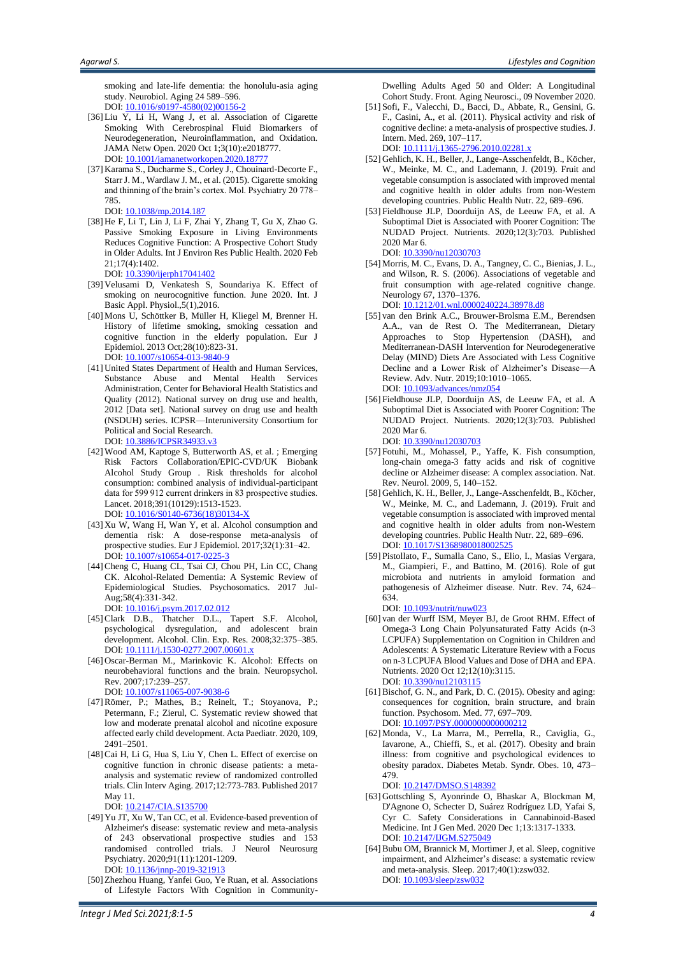smoking and late-life dementia: the honolulu-asia aging study. Neurobiol. Aging 24 589–596. DOI[: 10.1016/s0197-4580\(02\)00156-2](https://doi.org/10.1016/s0197-4580(02)00156-2)

- [36] Liu Y, Li H, Wang J, et al. Association of Cigarette Smoking With Cerebrospinal Fluid Biomarkers of Neurodegeneration, Neuroinflammation, and Oxidation. JAMA Netw Open. 2020 Oct 1;3(10):e2018777. DOI[: 10.1001/jamanetworkopen.2020.18777](https://doi.org/10.1001/jamanetworkopen.2020.18777)
- [37] Karama S., Ducharme S., Corley J., Chouinard-Decorte F., Starr J. M., Wardlaw J. M., et al. (2015). Cigarette smoking and thinning of the brain's cortex. Mol. Psychiatry 20 778– 785.
	- DOI[: 10.1038/mp.2014.187](https://doi.org/10.1038/mp.2014.187)
- [38] He F, Li T, Lin J, Li F, Zhai Y, Zhang T, Gu X, Zhao G. Passive Smoking Exposure in Living Environments Reduces Cognitive Function: A Prospective Cohort Study in Older Adults. Int J Environ Res Public Health. 2020 Feb 21;17(4):1402.

DOI[: 10.3390/ijerph17041402](https://doi.org/10.3390/ijerph17041402)

- [39] Velusami D, Venkatesh S, Soundariya K. Effect of smoking on neurocognitive function. June 2020. Int. J Basic Appl. Physiol.,5(1),2016.
- [40] Mons U, Schöttker B, Müller H, Kliegel M, Brenner H. History of lifetime smoking, smoking cessation and cognitive function in the elderly population. Eur J Epidemiol. 2013 Oct;28(10):823-31. DOI[: 10.1007/s10654-013-9840-9](https://doi.org/10.1007/s10654-013-9840-9)
- [41] United States Department of Health and Human Services, Substance Abuse and Mental Health Services Administration, Center for Behavioral Health Statistics and Quality (2012). National survey on drug use and health, 2012 [Data set]. National survey on drug use and health (NSDUH) series. ICPSR—Interuniversity Consortium for Political and Social Research. DOI[: 10.3886/ICPSR34933.v3](https://doi.org/10.3886/ICPSR34933.v3)
- [42] Wood AM, Kaptoge S, Butterworth AS, et al. ; Emerging Risk Factors Collaboration/EPIC-CVD/UK Biobank Alcohol Study Group . Risk thresholds for alcohol consumption: combined analysis of individual-participant data for 599 912 current drinkers in 83 prospective studies. Lancet. 2018;391(10129):1513-1523. DOI: [10.1016/S0140-6736\(18\)30134-X](https://doi.org/10.1016/S0140-6736(18)30134-X)
- [43] Xu W, Wang H, Wan Y, et al. Alcohol consumption and dementia risk: A dose-response meta-analysis of prospective studies. Eur J Epidemiol. 2017;32(1):31–42. DOI[: 10.1007/s10654-017-0225-3](https://doi.org/10.1007/s10654-017-0225-3)
- [44]Cheng C, Huang CL, Tsai CJ, Chou PH, Lin CC, Chang CK. Alcohol-Related Dementia: A Systemic Review of Epidemiological Studies. Psychosomatics. 2017 Jul-Aug;58(4):331-342. DOI[: 10.1016/j.psym.2017.02.012](10.1016/j.psym.2017.02.012)
- [45] Clark D.B., Thatcher D.L., Tapert S.F. Alcohol, psychological dysregulation, and adolescent brain development. Alcohol. Clin. Exp. Res. 2008;32:375–385. DOI[: 10.1111/j.1530-0277.2007.00601.x](https://doi.org/10.1111/j.1530-0277.2007.00601.x)
- [46] Oscar-Berman M., Marinkovic K. Alcohol: Effects on neurobehavioral functions and the brain. Neuropsychol. Rev. 2007;17:239–257. DOI[: 10.1007/s11065-007-9038-6](https://doi.org/10.1007/s11065-007-9038-6)
- [47]Römer, P.; Mathes, B.; Reinelt, T.; Stoyanova, P.; Petermann, F.; Zierul, C. Systematic review showed that low and moderate prenatal alcohol and nicotine exposure affected early child development. Acta Paediatr. 2020, 109, 2491–2501.
- [48]Cai H, Li G, Hua S, Liu Y, Chen L. Effect of exercise on cognitive function in chronic disease patients: a metaanalysis and systematic review of randomized controlled trials. Clin Interv Aging. 2017;12:773-783. Published 2017 May 11.

DOI: [10.2147/CIA.S135700](https://doi.org/10.2147/CIA.S135700)

- [49] Yu JT, Xu W, Tan CC, et al. Evidence-based prevention of Alzheimer's disease: systematic review and meta-analysis of 243 observational prospective studies and 153 randomised controlled trials. J Neurol Neurosurg Psychiatry. 2020;91(11):1201-1209. DOI: [10.1136/jnnp-2019-321913](https://doi.org/10.1136/jnnp-2019-321913)
- [50] Zhezhou Huang, Yanfei Guo, Ye Ruan, et al. Associations of Lifestyle Factors With Cognition in Community-

Dwelling Adults Aged 50 and Older: A Longitudinal Cohort Study. Front. Aging Neurosci., 09 November 2020.

[51] Sofi, F., Valecchi, D., Bacci, D., Abbate, R., Gensini, G. F., Casini, A., et al. (2011). Physical activity and risk of cognitive decline: a meta-analysis of prospective studies. J. Intern. Med. 269, 107–117. DOI[: 10.1111/j.1365-2796.2010.02281.x](https://doi.org/10.1111/j.1365-2796.2010.02281.x)

- [52] Gehlich, K. H., Beller, J., Lange-Asschenfeldt, B., Köcher, W., Meinke, M. C., and Lademann, J. (2019). Fruit and vegetable consumption is associated with improved mental and cognitive health in older adults from non-Western developing countries. Public Health Nutr. 22, 689–696.
- [53] Fieldhouse JLP, Doorduijn AS, de Leeuw FA, et al. A Suboptimal Diet is Associated with Poorer Cognition: The NUDAD Project. Nutrients. 2020;12(3):703. Published 2020 Mar 6.

DOI: [10.3390/nu12030703](https://doi.org/10.3390/nu12030703)

[54] Morris, M. C., Evans, D. A., Tangney, C. C., Bienias, J. L., and Wilson, R. S. (2006). Associations of vegetable and fruit consumption with age-related cognitive change. Neurology 67, 1370–1376.

DOI[: 10.1212/01.wnl.0000240224.38978.d8](https://doi.org/10.1212/01.wnl.0000240224.38978.d8)

- [55] van den Brink A.C., Brouwer-Brolsma E.M., Berendsen A.A., van de Rest O. The Mediterranean, Dietary Approaches to Stop Hypertension (DASH), and Mediterranean-DASH Intervention for Neurodegenerative Delay (MIND) Diets Are Associated with Less Cognitive Decline and a Lower Risk of Alzheimer's Disease—A Review. Adv. Nutr. 2019;10:1010–1065. DOI[: 10.1093/advances/nmz054](https://doi.org/10.1093/advances/nmz054)
- [56] Fieldhouse JLP, Doorduijn AS, de Leeuw FA, et al. A Suboptimal Diet is Associated with Poorer Cognition: The NUDAD Project. Nutrients. 2020;12(3):703. Published 2020 Mar 6.

DOI: [10.3390/nu12030703](https://doi.org/10.1093/advances/nmz054)

- [57] Fotuhi, M., Mohassel, P., Yaffe, K. Fish consumption, long-chain omega-3 fatty acids and risk of cognitive decline or Alzheimer disease: A complex association. Nat. Rev. Neurol. 2009, 5, 140–152.
- [58] Gehlich, K. H., Beller, J., Lange-Asschenfeldt, B., Köcher, W., Meinke, M. C., and Lademann, J. (2019). Fruit and vegetable consumption is associated with improved mental and cognitive health in older adults from non-Western developing countries. Public Health Nutr. 22, 689–696. DOI[: 10.1017/S1368980018002525](https://doi.org/10.1093/advances/nmz054)
- [59] Pistollato, F., Sumalla Cano, S., Elio, I., Masias Vergara, M., Giampieri, F., and Battino, M. (2016). Role of gut microbiota and nutrients in amyloid formation and pathogenesis of Alzheimer disease. Nutr. Rev. 74, 624– 634.

DOI[: 10.1093/nutrit/nuw023](https://doi.org/10.1093/advances/nmz054)

- [60] van der Wurff ISM, Meyer BJ, de Groot RHM. Effect of Omega-3 Long Chain Polyunsaturated Fatty Acids (n-3 LCPUFA) Supplementation on Cognition in Children and Adolescents: A Systematic Literature Review with a Focus on n-3 LCPUFA Blood Values and Dose of DHA and EPA. Nutrients. 2020 Oct 12;12(10):3115. DOI: 10.3390/nu1210311
- $[61] Bischof, G, N.,$  and Park, D. C. (2015). Obesity and aging: consequences for cognition, brain structure, and brain function. Psychosom. Med. 77, 697–709. DOI[: 10.1097/PSY.0000000000000212](https://doi.org/10.1097/PSY.0000000000000212)
- [62] Monda, V., La Marra, M., Perrella, R., Caviglia, G., Iavarone, A., Chieffi, S., et al. (2017). Obesity and brain illness: from cognitive and psychological evidences to obesity paradox. Diabetes Metab. Syndr. Obes. 10, 473– 479.

DOI[: 10.2147/DMSO.S148392](https://doi.org/10.2147/DMSO.S148392)

- [63] Gottschling S, Ayonrinde O, Bhaskar A, Blockman M, D'Agnone O, Schecter D, Suárez Rodríguez LD, Yafai S, Cyr C. Safety Considerations in Cannabinoid-Based Medicine. Int J Gen Med. 2020 Dec 1;13:1317-1333. DOI[: 10.2147/IJGM.S275049](https://doi.org/10.2147/IJGM.S275049)
- [64] Bubu OM, Brannick M, Mortimer J, et al. Sleep, cognitive impairment, and Alzheimer's disease: a systematic review and meta-analysis. Sleep. 2017;40(1):zsw032. DOI: [10.1093/sleep/zsw032](https://doi.org/10.2147/IJGM.S275049)